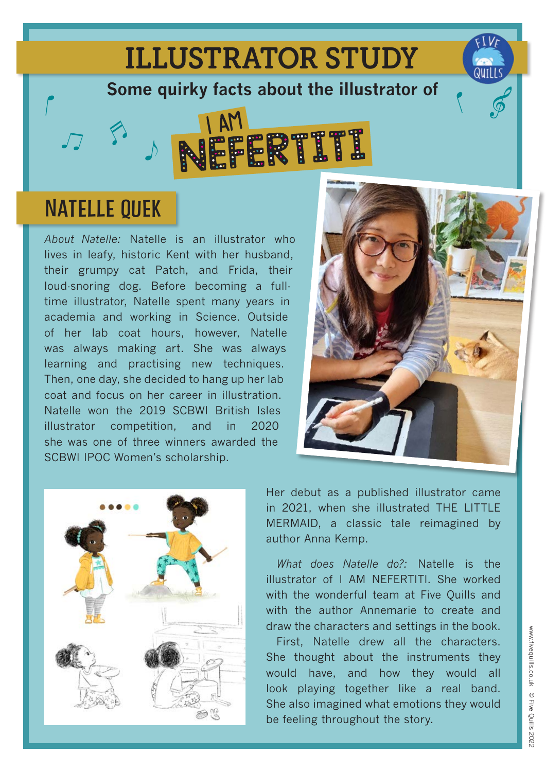## ILLUSTRATOR STUDY

**Some quirky facts about the illustrator of**



## **NATELLE QUEK**

*About Natelle:* Natelle is an illustrator who lives in leafy, historic Kent with her husband, their grumpy cat Patch, and Frida, their loud-snoring dog. Before becoming a fulltime illustrator, Natelle spent many years in academia and working in Science. Outside of her lab coat hours, however, Natelle was always making art. She was always learning and practising new techniques. Then, one day, she decided to hang up her lab coat and focus on her career in illustration. Natelle won the 2019 SCBWI British Isles illustrator competition, and in 2020 she was one of three winners awarded the SCBWI IPOC Women's scholarship.



![](_page_0_Picture_6.jpeg)

Her debut as a published illustrator came in 2021, when she illustrated THE LITTLE MERMAID, a classic tale reimagined by author Anna Kemp.

*What does Natelle do?:* Natelle is the illustrator of I AM NEFERTITI. She worked with the wonderful team at Five Quills and with the author Annemarie to create and draw the characters and settings in the book.

First, Natelle drew all the characters. She thought about the instruments they would have, and how they would all look playing together like a real band. She also imagined what emotions they would be feeling throughout the story.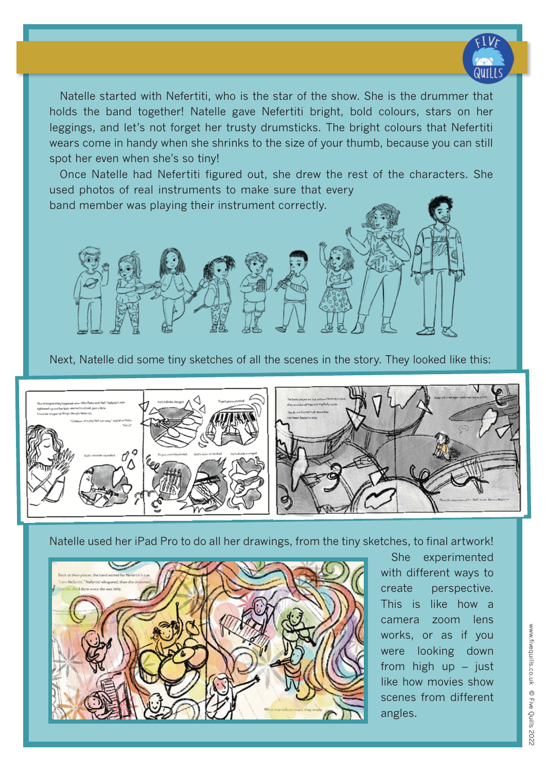![](_page_1_Picture_0.jpeg)

Natelle started with Nefertiti, who is the star of the show. She is the drummer that holds the band together! Natelle gave Nefertiti bright, bold colours, stars on her leggings, and let's not forget her trusty drumsticks. The bright colours that Nefertiti wears come in handy when she shrinks to the size of your thumb, because you can still spot her even when she's so tiny!

Once Natelle had Nefertiti figured out, she drew the rest of the characters. She used photos of real instruments to make sure that every

band member was playing their instrument correctly.

![](_page_1_Picture_4.jpeg)

![](_page_1_Picture_5.jpeg)

Natelle used her iPad Pro to do all her drawings, from the tiny sketches, to final artwork!

![](_page_1_Picture_7.jpeg)

She experimented with different ways to create perspective. This is like how a camera zoom lens works, or as if you were looking down from high up – just like how movies show scenes from different angles.